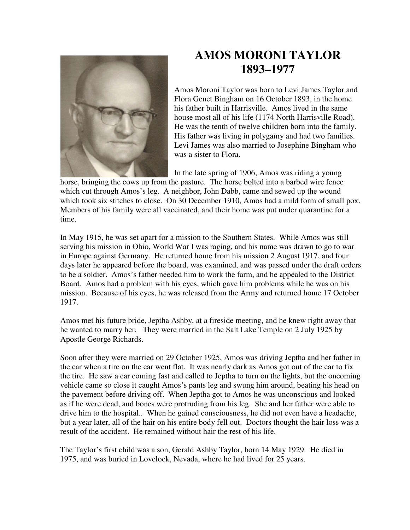

## **AMOS MORONI TAYLOR 1893–1977**

Amos Moroni Taylor was born to Levi James Taylor and Flora Genet Bingham on 16 October 1893, in the home his father built in Harrisville. Amos lived in the same house most all of his life (1174 North Harrisville Road). He was the tenth of twelve children born into the family. His father was living in polygamy and had two families. Levi James was also married to Josephine Bingham who was a sister to Flora.

In the late spring of 1906, Amos was riding a young

horse, bringing the cows up from the pasture. The horse bolted into a barbed wire fence which cut through Amos's leg. A neighbor, John Dabb, came and sewed up the wound which took six stitches to close. On 30 December 1910, Amos had a mild form of small pox. Members of his family were all vaccinated, and their home was put under quarantine for a time.

In May 1915, he was set apart for a mission to the Southern States. While Amos was still serving his mission in Ohio, World War I was raging, and his name was drawn to go to war in Europe against Germany. He returned home from his mission 2 August 1917, and four days later he appeared before the board, was examined, and was passed under the draft orders to be a soldier. Amos's father needed him to work the farm, and he appealed to the District Board. Amos had a problem with his eyes, which gave him problems while he was on his mission. Because of his eyes, he was released from the Army and returned home 17 October 1917.

Amos met his future bride, Jeptha Ashby, at a fireside meeting, and he knew right away that he wanted to marry her. They were married in the Salt Lake Temple on 2 July 1925 by Apostle George Richards.

Soon after they were married on 29 October 1925, Amos was driving Jeptha and her father in the car when a tire on the car went flat. It was nearly dark as Amos got out of the car to fix the tire. He saw a car coming fast and called to Jeptha to turn on the lights, but the oncoming vehicle came so close it caught Amos's pants leg and swung him around, beating his head on the pavement before driving off. When Jeptha got to Amos he was unconscious and looked as if he were dead, and bones were protruding from his leg. She and her father were able to drive him to the hospital.. When he gained consciousness, he did not even have a headache, but a year later, all of the hair on his entire body fell out. Doctors thought the hair loss was a result of the accident. He remained without hair the rest of his life.

The Taylor's first child was a son, Gerald Ashby Taylor, born 14 May 1929. He died in 1975, and was buried in Lovelock, Nevada, where he had lived for 25 years.